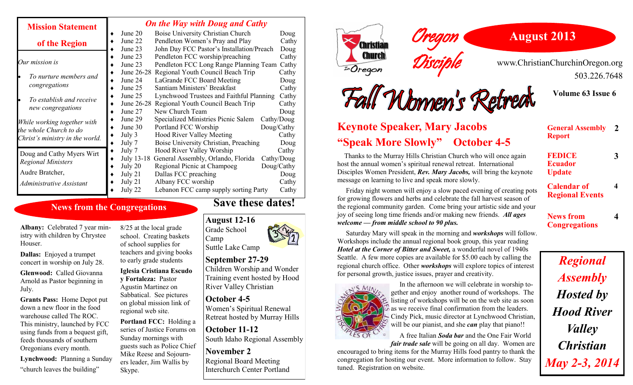| <b>Mission Statement</b>                                                                 | <b>On the Way with Doug and Cathy</b> |                                           |            |
|------------------------------------------------------------------------------------------|---------------------------------------|-------------------------------------------|------------|
|                                                                                          | June 20                               | Boise University Christian Church         | Doug       |
| of the Region                                                                            | June 22                               | Pendleton Women's Pray and Play           | Cathy      |
|                                                                                          | June 23                               | John Day FCC Pastor's Installation/Preach | Doug       |
| Our mission is                                                                           | June 23                               | Pendleton FCC worship/preaching           | Cathy      |
|                                                                                          | June 23                               | Pendleton FCC Long Range Planning Team    | Cathy      |
| To nurture members and<br>congregations                                                  | June 26-28                            | Regional Youth Council Beach Trip         | Cathy      |
|                                                                                          | June 24                               | LaGrande FCC Board Meeting                | Doug       |
|                                                                                          | June 25                               | Santiam Ministers' Breakfast              | Cathy      |
| To establish and receive<br>new congregations                                            | June 25                               | Lynchwood Trustees and Faithful Planning  | Cathy      |
|                                                                                          | June 26-28                            | Regional Youth Council Beach Trip         | Cathy      |
|                                                                                          | June 27                               | New Church Team                           | Doug       |
| While working together with<br>the whole Church to do<br>Christ's ministry in the world. | June 29                               | Specialized Ministries Picnic Salem       | Cathy/Doug |
|                                                                                          | June 30                               | Portland FCC Worship                      | Doug/Cathy |
|                                                                                          | July 3                                | <b>Hood River Valley Meeting</b>          | Cathy      |
|                                                                                          | July 7                                | Boise University Christian, Preaching     | Doug       |
| Doug and Cathy Myers Wirt                                                                | July 7                                | Hood River Valley Worship                 | Cathy      |
| <b>Regional Ministers</b>                                                                | July 13-18                            | General Assembly, Orlando, Florida        | Cathy/Doug |
|                                                                                          | July 20                               | Regional Picnic at Champoeg               | Doug/Cathy |
| Audre Bratcher,                                                                          | July 21                               | Dallas FCC preaching                      | Doug       |
| Administrative Assistant                                                                 | July 21                               | Albany FCC worship                        | Cathy      |
|                                                                                          | July 22                               | Lebanon FCC camp supply sorting Party     | Cathy      |

### **News from the Congregations**

**Albany:** Celebrated 7 year ministry with children by Chrystee **Houser** 

**Dallas:** Enjoyed a trumpet concert in worship on July 28.

**Glenwood:** Called Giovanna Arnold as Pastor beginning in July.

**Grants Pass:** Home Depot put down a new floor in the food warehouse called The ROC. This ministry, launched by FCC using funds from a bequest gift, feeds thousands of southern Oregonians every month.

**Lynchwood:** Planning a Sunday "church leaves the building"

8/25 at the local grade school. Creating baskets of school supplies for teachers and giving books to early grade students

**Iglesia Cristiana Escudo y Fortaleza:** Pastor Agustin Martinez on Sabbatical. See pictures on global mission link of regional web site.

**Portland FCC:** Holding a series of Justice Forums on Sunday mornings with guests such as Police Chief Mike Reese and Sojourners leader, Jim Wallis by Skype.

### **Save these dates!**

### **August 12-16**

Camp

Grade School Suttle Lake Camp

#### **September 27-29**

Children Worship and Wonder Training event hosted by Hood River Valley Christian

## **October 4-5**

Women's Spiritual Renewal Retreat hosted by Murray Hills

**October 11-12** South Idaho Regional Assembly

## **November 2**

Regional Board Meeting Interchurch Center Portland



## **August 2013**

www.ChristianChurchinOregon.org 503.226.7648

**Volume 63 Issue 6**

# Fall Monnen's Retreat **Keynote Speaker, Mary Jacobs**

Oregon

Disciple

# **"Speak More Slowly" October 4-5**

 Thanks to the Murray Hills Christian Church who will once again host the annual women's spiritual renewal retreat. International Disciples Women President, *Rev. Mary Jacobs,* will bring the keynote message on learning to live and speak more slowly.

 Friday night women will enjoy a slow paced evening of creating pots for growing flowers and herbs and celebrate the fall harvest season of the regional community garden. Come bring your artistic side and your joy of seeing long time friends and/or making new friends. *All ages welcome — from middle school to 90 plus.*

 Saturday Mary will speak in the morning and *workshops* will follow. Workshops include the annual regional book group, this year reading *Hotel at the Corner of Bitter and Sweet,* a wonderful novel of 1940s Seattle. A few more copies are available for \$5.00 each by calling the regional church office. Other *workshops* will explore topics of interest for personal growth, justice issues, prayer and creativity.



 In the afternoon we will celebrate in worship together and enjoy another round of workshops. The  $\epsilon$  listing of workshops will be on the web site as soon as we receive final confirmation from the leaders. Cindy Pick, music director at Lynchwood Christian, will be our pianist, and she *can* play that piano!!

 A free Italian *Soda bar* and the One Fair World *fair trade sale* will be going on all day. Women are

encouraged to bring items for the Murray Hills food pantry to thank the congregation for hosting our event. More information to follow. Stay tuned. Registration on website.

| <b>General Assembly</b><br><b>Report</b>         |  |
|--------------------------------------------------|--|
| <b>FEDICE</b><br><b>Ecuador</b><br><b>Update</b> |  |
| <b>Calendar of</b><br><b>Regional Events</b>     |  |

**News from Congregations** **4**

*Regional Assembly Hosted by Hood River Valley Christian May 2-3, 2014*